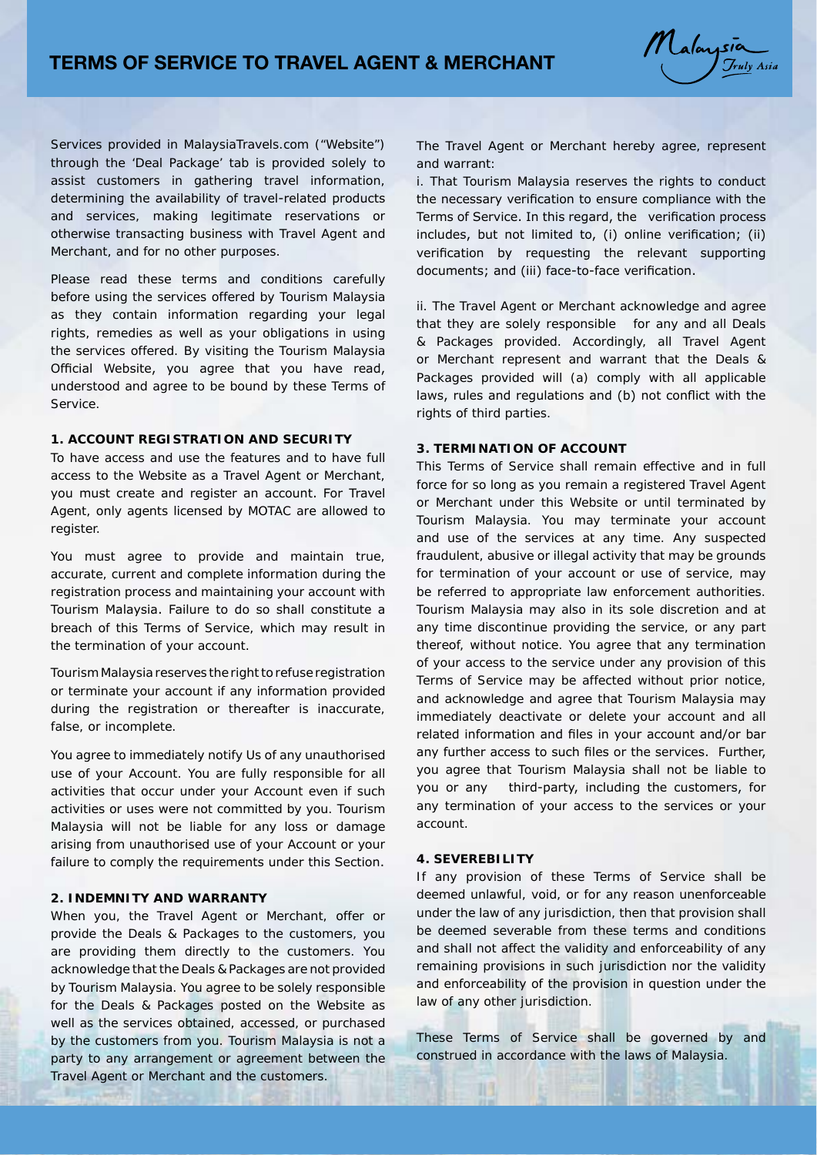

Services provided in MalaysiaTravels.com ("Website") through the 'Deal Package' tab is provided solely to assist customers in gathering travel information, determining the availability of travel-related products and services, making legitimate reservations or otherwise transacting business with Travel Agent and Merchant, and for no other purposes.

Please read these terms and conditions carefully before using the services offered by Tourism Malaysia as they contain information regarding your legal rights, remedies as well as your obligations in using the services offered. By visiting the Tourism Malaysia Official Website, you agree that you have read, understood and agree to be bound by these Terms of Service.

## **1. ACCOUNT REGISTRATION AND SECURITY**

To have access and use the features and to have full access to the Website as a Travel Agent or Merchant, you must create and register an account. For Travel Agent, only agents licensed by MOTAC are allowed to register.

You must agree to provide and maintain true, accurate, current and complete information during the registration process and maintaining your account with Tourism Malaysia. Failure to do so shall constitute a breach of this Terms of Service, which may result in the termination of your account.

Tourism Malaysia reserves the right to refuse registration or terminate your account if any information provided during the registration or thereafter is inaccurate, false, or incomplete.

You agree to immediately notify Us of any unauthorised use of your Account. You are fully responsible for all activities that occur under your Account even if such activities or uses were not committed by you. Tourism Malaysia will not be liable for any loss or damage arising from unauthorised use of your Account or your failure to comply the requirements under this Section.

## **2. INDEMNITY AND WARRANTY**

When you, the Travel Agent or Merchant, offer or provide the Deals & Packages to the customers, you are providing them directly to the customers. You acknowledge that the Deals & Packages are not provided by Tourism Malaysia. You agree to be solely responsible for the Deals & Packages posted on the Website as well as the services obtained, accessed, or purchased by the customers from you. Tourism Malaysia is not a party to any arrangement or agreement between the Travel Agent or Merchant and the customers.

The Travel Agent or Merchant hereby agree, represent and warrant:

i. That Tourism Malaysia reserves the rights to conduct the necessary verification to ensure compliance with the Terms of Service. In this regard, the verification process includes, but not limited to, (i) online verification; (ii) verification by requesting the relevant supporting documents; and (iii) face-to-face verification.

ii. The Travel Agent or Merchant acknowledge and agree that they are solely responsible for any and all Deals & Packages provided. Accordingly, all Travel Agent or Merchant represent and warrant that the Deals & Packages provided will (a) comply with all applicable laws, rules and regulations and (b) not conflict with the rights of third parties.

## **3. TERMINATION OF ACCOUNT**

This Terms of Service shall remain effective and in full force for so long as you remain a registered Travel Agent or Merchant under this Website or until terminated by Tourism Malaysia. You may terminate your account and use of the services at any time. Any suspected fraudulent, abusive or illegal activity that may be grounds for termination of your account or use of service, may be referred to appropriate law enforcement authorities. Tourism Malaysia may also in its sole discretion and at any time discontinue providing the service, or any part thereof, without notice. You agree that any termination of your access to the service under any provision of this Terms of Service may be affected without prior notice, and acknowledge and agree that Tourism Malaysia may immediately deactivate or delete your account and all related information and files in your account and/or bar any further access to such files or the services. Further, you agree that Tourism Malaysia shall not be liable to you or any third-party, including the customers, for any termination of your access to the services or your account.

### **4. SEVEREBILITY**

If any provision of these Terms of Service shall be deemed unlawful, void, or for any reason unenforceable under the law of any jurisdiction, then that provision shall be deemed severable from these terms and conditions and shall not affect the validity and enforceability of any remaining provisions in such jurisdiction nor the validity and enforceability of the provision in question under the law of any other jurisdiction.

These Terms of Service shall be governed by and construed in accordance with the laws of Malaysia.